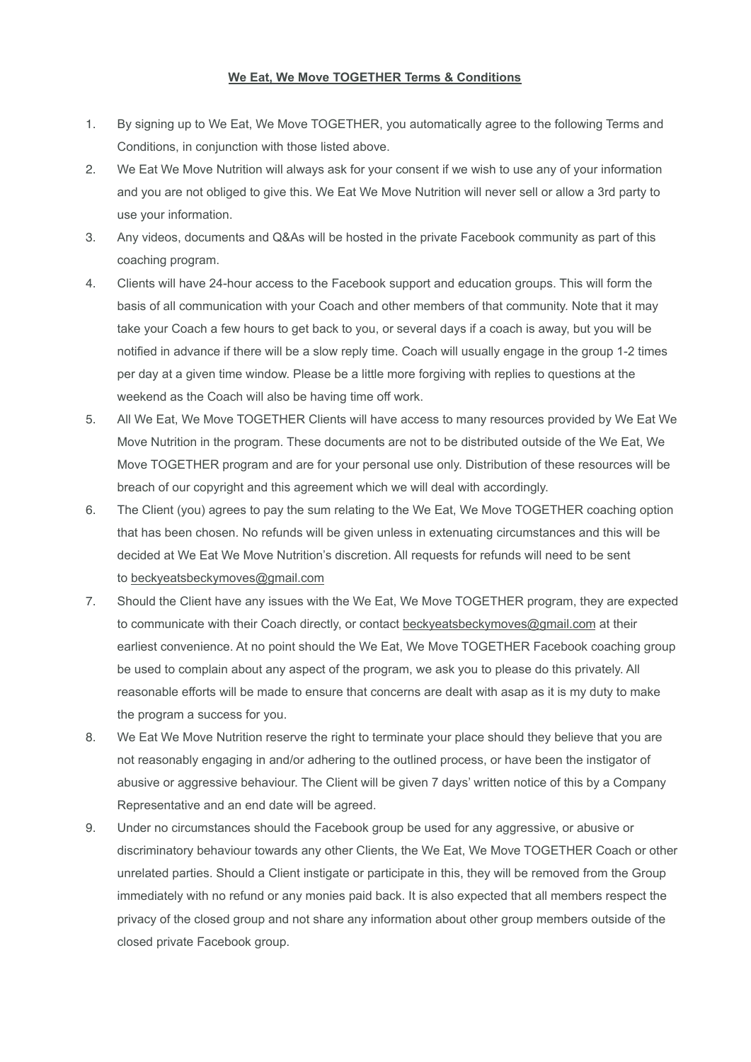## **We Eat, We Move TOGETHER Terms & Conditions**

- 1. By signing up to We Eat, We Move TOGETHER, you automatically agree to the following Terms and Conditions, in conjunction with those listed above.
- 2. We Eat We Move Nutrition will always ask for your consent if we wish to use any of your information and you are not obliged to give this. We Eat We Move Nutrition will never sell or allow a 3rd party to use your information.
- 3. Any videos, documents and Q&As will be hosted in the private Facebook community as part of this coaching program.
- 4. Clients will have 24-hour access to the Facebook support and education groups. This will form the basis of all communication with your Coach and other members of that community. Note that it may take your Coach a few hours to get back to you, or several days if a coach is away, but you will be notified in advance if there will be a slow reply time. Coach will usually engage in the group 1-2 times per day at a given time window. Please be a little more forgiving with replies to questions at the weekend as the Coach will also be having time off work.
- 5. All We Eat, We Move TOGETHER Clients will have access to many resources provided by We Eat We Move Nutrition in the program. These documents are not to be distributed outside of the We Eat, We Move TOGETHER program and are for your personal use only. Distribution of these resources will be breach of our copyright and this agreement which we will deal with accordingly.
- 6. The Client (you) agrees to pay the sum relating to the We Eat, We Move TOGETHER coaching option that has been chosen. No refunds will be given unless in extenuating circumstances and this will be decided at We Eat We Move Nutrition's discretion. All requests for refunds will need to be sent to [beckyeatsbeckymoves@gmail.com](mailto:beckyeatsbeckymoves@gmail.com)
- 7. Should the Client have any issues with the We Eat, We Move TOGETHER program, they are expected to communicate with their Coach directly, or contact [beckyeatsbeckymoves@gmail.com](mailto:beckyeatsbeckymoves@gmail.com) at their earliest convenience. At no point should the We Eat, We Move TOGETHER Facebook coaching group be used to complain about any aspect of the program, we ask you to please do this privately. All reasonable efforts will be made to ensure that concerns are dealt with asap as it is my duty to make the program a success for you.
- 8. We Eat We Move Nutrition reserve the right to terminate your place should they believe that you are not reasonably engaging in and/or adhering to the outlined process, or have been the instigator of abusive or aggressive behaviour. The Client will be given 7 days' written notice of this by a Company Representative and an end date will be agreed.
- 9. Under no circumstances should the Facebook group be used for any aggressive, or abusive or discriminatory behaviour towards any other Clients, the We Eat, We Move TOGETHER Coach or other unrelated parties. Should a Client instigate or participate in this, they will be removed from the Group immediately with no refund or any monies paid back. It is also expected that all members respect the privacy of the closed group and not share any information about other group members outside of the closed private Facebook group.